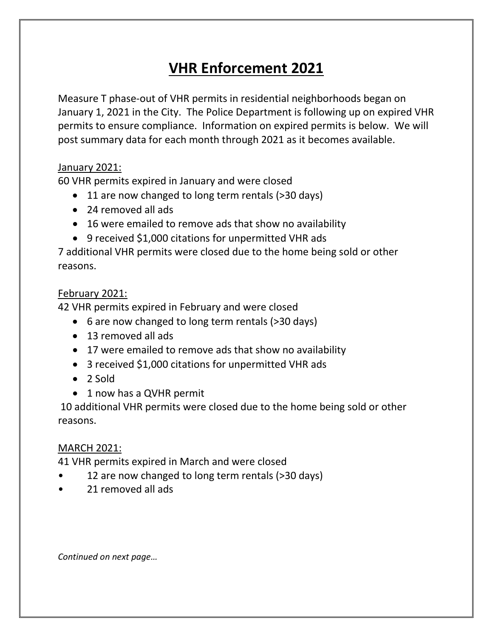# **VHR Enforcement 2021**

Measure T phase-out of VHR permits in residential neighborhoods began on January 1, 2021 in the City. The Police Department is following up on expired VHR permits to ensure compliance. Information on expired permits is below. We will post summary data for each month through 2021 as it becomes available.

### January 2021:

60 VHR permits expired in January and were closed

- 11 are now changed to long term rentals (>30 days)
- 24 removed all ads
- 16 were emailed to remove ads that show no availability
- 9 received \$1,000 citations for unpermitted VHR ads

7 additional VHR permits were closed due to the home being sold or other reasons.

#### February 2021:

42 VHR permits expired in February and were closed

- 6 are now changed to long term rentals (>30 days)
- 13 removed all ads
- 17 were emailed to remove ads that show no availability
- 3 received \$1,000 citations for unpermitted VHR ads
- 2 Sold
- 1 now has a QVHR permit

10 additional VHR permits were closed due to the home being sold or other reasons.

### MARCH 2021:

41 VHR permits expired in March and were closed

- 12 are now changed to long term rentals (>30 days)
- 21 removed all ads

*Continued on next page…*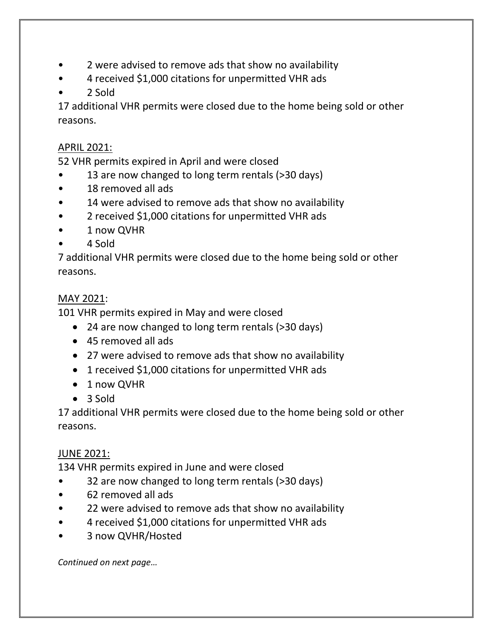- 2 were advised to remove ads that show no availability
- 4 received \$1,000 citations for unpermitted VHR ads
- 2 Sold

17 additional VHR permits were closed due to the home being sold or other reasons.

## APRIL 2021:

52 VHR permits expired in April and were closed

- 13 are now changed to long term rentals (>30 days)
- 18 removed all ads
- 14 were advised to remove ads that show no availability
- 2 received \$1,000 citations for unpermitted VHR ads
- 1 now QVHR
- 4 Sold

7 additional VHR permits were closed due to the home being sold or other reasons.

## MAY 2021:

101 VHR permits expired in May and were closed

- 24 are now changed to long term rentals (>30 days)
- 45 removed all ads
- 27 were advised to remove ads that show no availability
- 1 received \$1,000 citations for unpermitted VHR ads
- 1 now QVHR
- 3 Sold

17 additional VHR permits were closed due to the home being sold or other reasons.

# JUNE 2021:

134 VHR permits expired in June and were closed

- 32 are now changed to long term rentals (>30 days)
- 62 removed all ads
- 22 were advised to remove ads that show no availability
- 4 received \$1,000 citations for unpermitted VHR ads
- 3 now QVHR/Hosted

*Continued on next page…*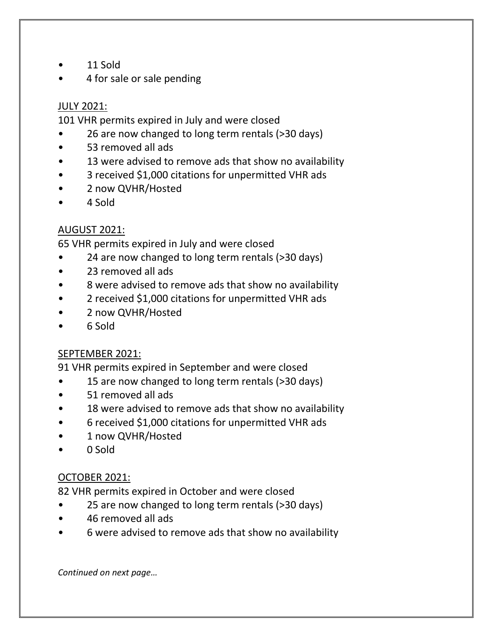- 11 Sold
- 4 for sale or sale pending

## JULY 2021:

101 VHR permits expired in July and were closed

- 26 are now changed to long term rentals (>30 days)
- 53 removed all ads
- 13 were advised to remove ads that show no availability
- 3 received \$1,000 citations for unpermitted VHR ads
- 2 now QVHR/Hosted
- 4 Sold

# AUGUST 2021:

65 VHR permits expired in July and were closed

- 24 are now changed to long term rentals (>30 days)
- 23 removed all ads
- 8 were advised to remove ads that show no availability
- 2 received \$1,000 citations for unpermitted VHR ads
- 2 now QVHR/Hosted
- 6 Sold

### SEPTEMBER 2021:

91 VHR permits expired in September and were closed

- 15 are now changed to long term rentals (>30 days)
- 51 removed all ads
- 18 were advised to remove ads that show no availability
- 6 received \$1,000 citations for unpermitted VHR ads
- 1 now QVHR/Hosted
- 0 Sold

# OCTOBER 2021:

82 VHR permits expired in October and were closed

- 25 are now changed to long term rentals (>30 days)
- 46 removed all ads
- 6 were advised to remove ads that show no availability

*Continued on next page…*